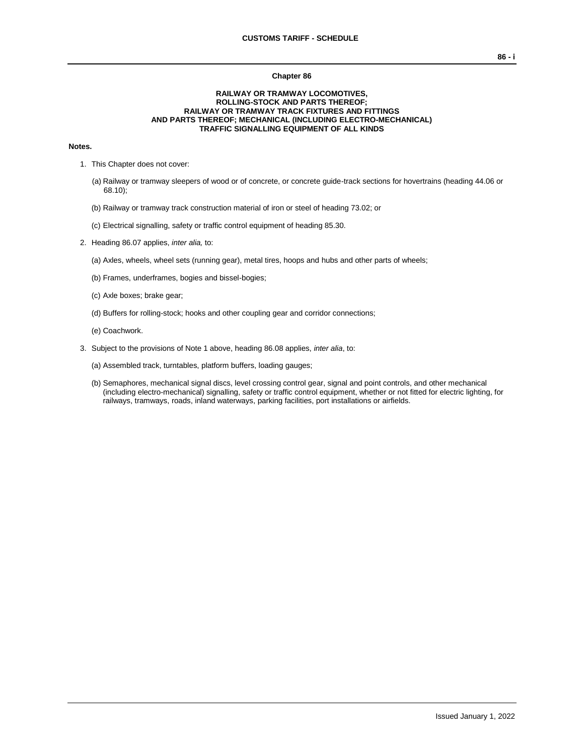#### **Chapter 86**

#### **RAILWAY OR TRAMWAY LOCOMOTIVES, ROLLING-STOCK AND PARTS THEREOF; RAILWAY OR TRAMWAY TRACK FIXTURES AND FITTINGS AND PARTS THEREOF; MECHANICAL (INCLUDING ELECTRO-MECHANICAL) TRAFFIC SIGNALLING EQUIPMENT OF ALL KINDS**

### **Notes.**

- 1. This Chapter does not cover:
	- (a) Railway or tramway sleepers of wood or of concrete, or concrete guide-track sections for hovertrains (heading 44.06 or 68.10);
	- (b) Railway or tramway track construction material of iron or steel of heading 73.02; or
	- (c) Electrical signalling, safety or traffic control equipment of heading 85.30.
- 2. Heading 86.07 applies, *inter alia,* to:
	- (a) Axles, wheels, wheel sets (running gear), metal tires, hoops and hubs and other parts of wheels;
	- (b) Frames, underframes, bogies and bissel-bogies;
	- (c) Axle boxes; brake gear;
	- (d) Buffers for rolling-stock; hooks and other coupling gear and corridor connections;
	- (e) Coachwork.
- 3. Subject to the provisions of Note 1 above, heading 86.08 applies, *inter alia*, to:
	- (a) Assembled track, turntables, platform buffers, loading gauges;
	- (b) Semaphores, mechanical signal discs, level crossing control gear, signal and point controls, and other mechanical (including electro-mechanical) signalling, safety or traffic control equipment, whether or not fitted for electric lighting, for railways, tramways, roads, inland waterways, parking facilities, port installations or airfields.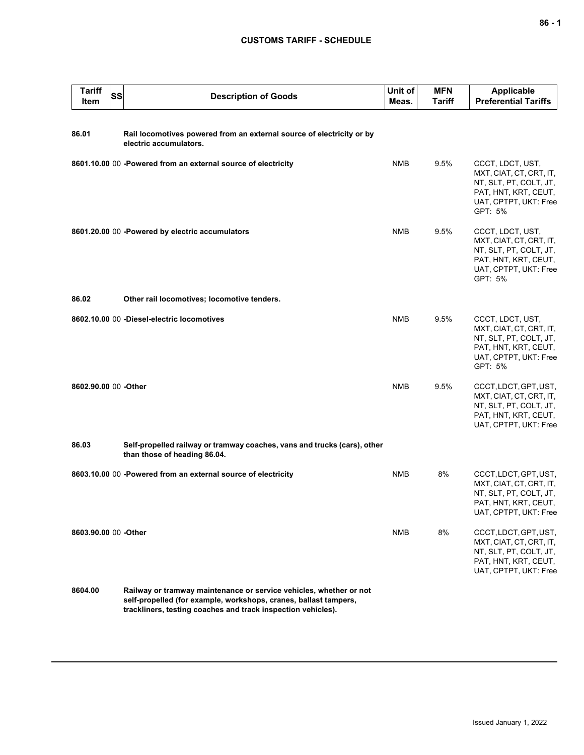### **CUSTOMS TARIFF - SCHEDULE**

| <b>Tariff</b><br><b>Item</b> | <b>SS</b> | <b>Description of Goods</b>                                                                                                                                                                            | Unit of<br>Meas. | <b>MFN</b><br><b>Tariff</b> | <b>Applicable</b><br><b>Preferential Tariffs</b>                                                                                  |
|------------------------------|-----------|--------------------------------------------------------------------------------------------------------------------------------------------------------------------------------------------------------|------------------|-----------------------------|-----------------------------------------------------------------------------------------------------------------------------------|
| 86.01                        |           | Rail locomotives powered from an external source of electricity or by<br>electric accumulators.                                                                                                        |                  |                             |                                                                                                                                   |
|                              |           | 8601.10.00 00 -Powered from an external source of electricity                                                                                                                                          | <b>NMB</b>       | 9.5%                        | CCCT, LDCT, UST,<br>MXT, CIAT, CT, CRT, IT,<br>NT, SLT, PT, COLT, JT,<br>PAT, HNT, KRT, CEUT,<br>UAT, CPTPT, UKT: Free<br>GPT: 5% |
|                              |           | 8601.20.00 00 -Powered by electric accumulators                                                                                                                                                        | <b>NMB</b>       | 9.5%                        | CCCT, LDCT, UST,<br>MXT, CIAT, CT, CRT, IT,<br>NT, SLT, PT, COLT, JT,<br>PAT, HNT, KRT, CEUT,<br>UAT, CPTPT, UKT: Free<br>GPT: 5% |
| 86.02                        |           | Other rail locomotives; locomotive tenders.                                                                                                                                                            |                  |                             |                                                                                                                                   |
|                              |           | 8602.10.00 00 -Diesel-electric locomotives                                                                                                                                                             | <b>NMB</b>       | 9.5%                        | CCCT, LDCT, UST,<br>MXT, CIAT, CT, CRT, IT,<br>NT, SLT, PT, COLT, JT,<br>PAT, HNT, KRT, CEUT,<br>UAT, CPTPT, UKT: Free<br>GPT: 5% |
| 8602.90.00 00 - Other        |           |                                                                                                                                                                                                        | <b>NMB</b>       | 9.5%                        | CCCT, LDCT, GPT, UST,<br>MXT, CIAT, CT, CRT, IT,<br>NT, SLT, PT, COLT, JT,<br>PAT, HNT, KRT, CEUT,<br>UAT, CPTPT, UKT: Free       |
| 86.03                        |           | Self-propelled railway or tramway coaches, vans and trucks (cars), other<br>than those of heading 86.04.                                                                                               |                  |                             |                                                                                                                                   |
|                              |           | 8603.10.00 00 -Powered from an external source of electricity                                                                                                                                          | <b>NMB</b>       | 8%                          | CCCT, LDCT, GPT, UST,<br>MXT, CIAT, CT, CRT, IT,<br>NT, SLT, PT, COLT, JT,<br>PAT, HNT, KRT, CEUT,<br>UAT, CPTPT, UKT: Free       |
| 8603.90.00 00 -Other         |           |                                                                                                                                                                                                        | <b>NMB</b>       | 8%                          | CCCT, LDCT, GPT, UST,<br>MXT, CIAT, CT, CRT, IT,<br>NT, SLT, PT, COLT, JT,<br>PAT, HNT, KRT, CEUT,<br>UAT, CPTPT, UKT: Free       |
| 8604.00                      |           | Railway or tramway maintenance or service vehicles, whether or not<br>self-propelled (for example, workshops, cranes, ballast tampers,<br>trackliners, testing coaches and track inspection vehicles). |                  |                             |                                                                                                                                   |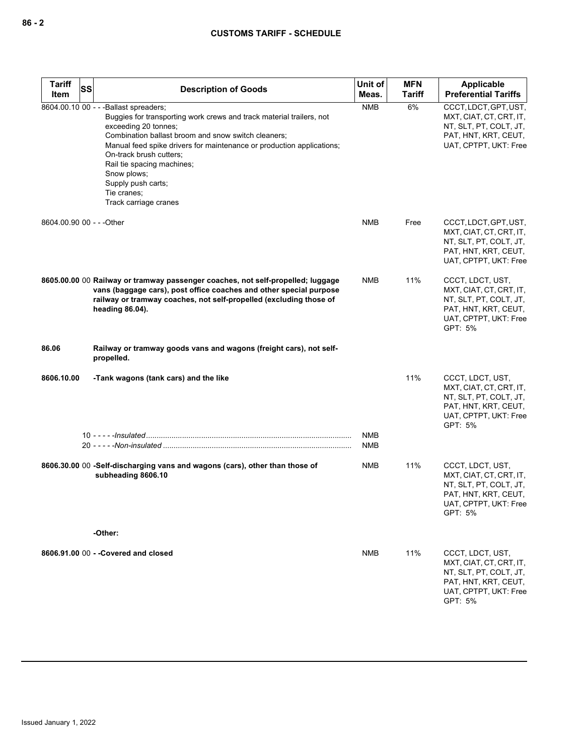## **CUSTOMS TARIFF - SCHEDULE**

| <b>Tariff</b>             | SS | <b>Description of Goods</b>                                                                                                                                                                                                                                                                                                                                                                                  | Unit of           | <b>MFN</b>    | Applicable                                                                                                                        |
|---------------------------|----|--------------------------------------------------------------------------------------------------------------------------------------------------------------------------------------------------------------------------------------------------------------------------------------------------------------------------------------------------------------------------------------------------------------|-------------------|---------------|-----------------------------------------------------------------------------------------------------------------------------------|
| Item                      |    |                                                                                                                                                                                                                                                                                                                                                                                                              | Meas.             | <b>Tariff</b> | <b>Preferential Tariffs</b>                                                                                                       |
|                           |    | 8604.00.10 00 - - - Ballast spreaders;<br>Buggies for transporting work crews and track material trailers, not<br>exceeding 20 tonnes;<br>Combination ballast broom and snow switch cleaners;<br>Manual feed spike drivers for maintenance or production applications;<br>On-track brush cutters;<br>Rail tie spacing machines;<br>Snow plows;<br>Supply push carts;<br>Tie cranes;<br>Track carriage cranes | <b>NMB</b>        | 6%            | CCCT, LDCT, GPT, UST,<br>MXT, CIAT, CT, CRT, IT,<br>NT, SLT, PT, COLT, JT,<br>PAT, HNT, KRT, CEUT,<br>UAT, CPTPT, UKT: Free       |
| 8604.00.90 00 - - - Other |    |                                                                                                                                                                                                                                                                                                                                                                                                              | NMB               | Free          | CCCT, LDCT, GPT, UST,<br>MXT, CIAT, CT, CRT, IT,<br>NT, SLT, PT, COLT, JT,<br>PAT, HNT, KRT, CEUT,<br>UAT, CPTPT, UKT: Free       |
|                           |    | 8605.00.00 00 Railway or tramway passenger coaches, not self-propelled; luggage<br>vans (baggage cars), post office coaches and other special purpose<br>railway or tramway coaches, not self-propelled (excluding those of<br>heading 86.04).                                                                                                                                                               | <b>NMB</b>        | 11%           | CCCT, LDCT, UST,<br>MXT, CIAT, CT, CRT, IT,<br>NT, SLT, PT, COLT, JT,<br>PAT, HNT, KRT, CEUT,<br>UAT, CPTPT, UKT: Free<br>GPT: 5% |
| 86.06                     |    | Railway or tramway goods vans and wagons (freight cars), not self-<br>propelled.                                                                                                                                                                                                                                                                                                                             |                   |               |                                                                                                                                   |
| 8606.10.00                |    | -Tank wagons (tank cars) and the like                                                                                                                                                                                                                                                                                                                                                                        |                   | 11%           | CCCT, LDCT, UST,<br>MXT, CIAT, CT, CRT, IT,<br>NT, SLT, PT, COLT, JT,<br>PAT, HNT, KRT, CEUT,<br>UAT, CPTPT, UKT: Free<br>GPT: 5% |
|                           |    |                                                                                                                                                                                                                                                                                                                                                                                                              | <b>NMB</b><br>NMB |               |                                                                                                                                   |
|                           |    | 8606.30.00 00 -Self-discharging vans and wagons (cars), other than those of<br>subheading 8606.10<br>-Other:                                                                                                                                                                                                                                                                                                 | NMB               | 11%           | CCCT, LDCT, UST,<br>MXT, CIAT, CT, CRT, IT,<br>NT, SLT, PT, COLT, JT,<br>PAT, HNT, KRT, CEUT,<br>UAT, CPTPT, UKT: Free<br>GPT: 5% |
|                           |    |                                                                                                                                                                                                                                                                                                                                                                                                              |                   |               |                                                                                                                                   |
|                           |    | 8606.91.00 00 - - Covered and closed                                                                                                                                                                                                                                                                                                                                                                         | NMB               | 11%           | CCCT, LDCT, UST,<br>MXT, CIAT, CT, CRT, IT,<br>NT, SLT, PT, COLT, JT,<br>PAT, HNT, KRT, CEUT,<br>UAT, CPTPT, UKT: Free<br>GPT: 5% |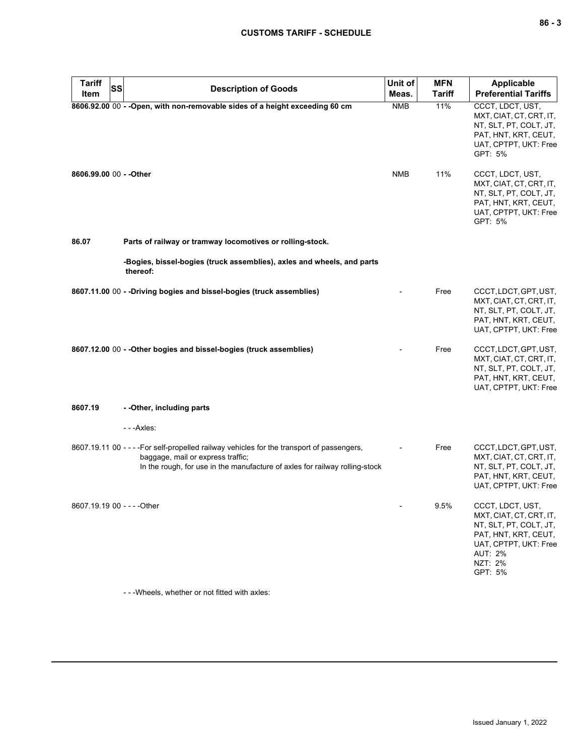# **CUSTOMS TARIFF - SCHEDULE**

| <b>Tariff</b><br>SS<br>Item | <b>Description of Goods</b>                                                                                                                                                                                    | Unit of<br>Meas. | <b>MFN</b><br><b>Tariff</b> | <b>Applicable</b><br><b>Preferential Tariffs</b>                                                                                                               |
|-----------------------------|----------------------------------------------------------------------------------------------------------------------------------------------------------------------------------------------------------------|------------------|-----------------------------|----------------------------------------------------------------------------------------------------------------------------------------------------------------|
|                             | 8606.92.00 00 - - Open, with non-removable sides of a height exceeding 60 cm                                                                                                                                   | <b>NMB</b>       | 11%                         | CCCT, LDCT, UST,<br>MXT, CIAT, CT, CRT, IT,<br>NT, SLT, PT, COLT, JT,<br>PAT, HNT, KRT, CEUT,<br>UAT, CPTPT, UKT: Free<br>GPT: 5%                              |
| 8606.99.00 00 - - Other     |                                                                                                                                                                                                                | <b>NMB</b>       | 11%                         | CCCT, LDCT, UST,<br>MXT, CIAT, CT, CRT, IT,<br>NT, SLT, PT, COLT, JT,<br>PAT, HNT, KRT, CEUT,<br>UAT, CPTPT, UKT: Free<br>GPT: 5%                              |
| 86.07                       | Parts of railway or tramway locomotives or rolling-stock.                                                                                                                                                      |                  |                             |                                                                                                                                                                |
|                             | -Bogies, bissel-bogies (truck assemblies), axles and wheels, and parts<br>thereof:                                                                                                                             |                  |                             |                                                                                                                                                                |
|                             | 8607.11.00 00 - -Driving bogies and bissel-bogies (truck assemblies)                                                                                                                                           |                  | Free                        | CCCT, LDCT, GPT, UST,<br>MXT, CIAT, CT, CRT, IT,<br>NT, SLT, PT, COLT, JT,<br>PAT, HNT, KRT, CEUT,<br>UAT, CPTPT, UKT: Free                                    |
|                             | 8607.12.00 00 - - Other bogies and bissel-bogies (truck assemblies)                                                                                                                                            |                  | Free                        | CCCT, LDCT, GPT, UST,<br>MXT, CIAT, CT, CRT, IT,<br>NT, SLT, PT, COLT, JT,<br>PAT, HNT, KRT, CEUT,<br>UAT, CPTPT, UKT: Free                                    |
| 8607.19                     | - - Other, including parts                                                                                                                                                                                     |                  |                             |                                                                                                                                                                |
|                             | - - - Axles:                                                                                                                                                                                                   |                  |                             |                                                                                                                                                                |
|                             | 8607.19.11 00 - - - - For self-propelled railway vehicles for the transport of passengers,<br>baggage, mail or express traffic;<br>In the rough, for use in the manufacture of axles for railway rolling-stock |                  | Free                        | CCCT, LDCT, GPT, UST,<br>MXT, CIAT, CT, CRT, IT,<br>NT, SLT, PT, COLT, JT,<br>PAT, HNT, KRT, CEUT,<br>UAT, CPTPT, UKT: Free                                    |
| 8607.19.19 00 - - - - Other |                                                                                                                                                                                                                | -                | 9.5%                        | CCCT, LDCT, UST,<br>MXT, CIAT, CT, CRT, IT,<br>NT, SLT, PT, COLT, JT,<br>PAT, HNT, KRT, CEUT,<br>UAT, CPTPT, UKT: Free<br><b>AUT: 2%</b><br>NZT: 2%<br>GPT: 5% |

- - -Wheels, whether or not fitted with axles: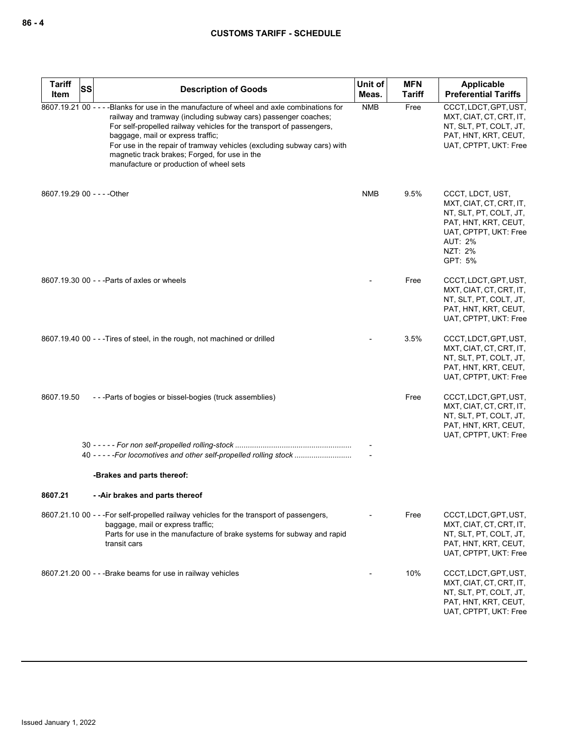| <b>Tariff</b>               | <b>SS</b> | <b>Description of Goods</b>                                                                                                                                                                                                                                                                                                                                                                                                                     | Unit of    | <b>MFN</b>    | Applicable                                                                                                                                                     |
|-----------------------------|-----------|-------------------------------------------------------------------------------------------------------------------------------------------------------------------------------------------------------------------------------------------------------------------------------------------------------------------------------------------------------------------------------------------------------------------------------------------------|------------|---------------|----------------------------------------------------------------------------------------------------------------------------------------------------------------|
| Item                        |           |                                                                                                                                                                                                                                                                                                                                                                                                                                                 | Meas.      | <b>Tariff</b> | <b>Preferential Tariffs</b>                                                                                                                                    |
|                             |           | 8607.19.21 00 - - - - Blanks for use in the manufacture of wheel and axle combinations for<br>railway and tramway (including subway cars) passenger coaches;<br>For self-propelled railway vehicles for the transport of passengers,<br>baggage, mail or express traffic;<br>For use in the repair of tramway vehicles (excluding subway cars) with<br>magnetic track brakes; Forged, for use in the<br>manufacture or production of wheel sets | <b>NMB</b> | Free          | CCCT, LDCT, GPT, UST,<br>MXT, CIAT, CT, CRT, IT,<br>NT, SLT, PT, COLT, JT,<br>PAT, HNT, KRT, CEUT,<br>UAT, CPTPT, UKT: Free                                    |
| 8607.19.29 00 - - - - Other |           |                                                                                                                                                                                                                                                                                                                                                                                                                                                 | <b>NMB</b> | 9.5%          | CCCT, LDCT, UST,<br>MXT, CIAT, CT, CRT, IT,<br>NT, SLT, PT, COLT, JT,<br>PAT, HNT, KRT, CEUT,<br>UAT, CPTPT, UKT: Free<br><b>AUT: 2%</b><br>NZT: 2%<br>GPT: 5% |
|                             |           | 8607.19.30 00 - - - Parts of axles or wheels                                                                                                                                                                                                                                                                                                                                                                                                    |            | Free          | CCCT, LDCT, GPT, UST,<br>MXT, CIAT, CT, CRT, IT,<br>NT, SLT, PT, COLT, JT,<br>PAT, HNT, KRT, CEUT,<br>UAT, CPTPT, UKT: Free                                    |
|                             |           | 8607.19.40 00 - - - Tires of steel, in the rough, not machined or drilled                                                                                                                                                                                                                                                                                                                                                                       |            | 3.5%          | CCCT, LDCT, GPT, UST,<br>MXT, CIAT, CT, CRT, IT,<br>NT, SLT, PT, COLT, JT,<br>PAT, HNT, KRT, CEUT,<br>UAT, CPTPT, UKT: Free                                    |
| 8607.19.50                  |           | ---Parts of bogies or bissel-bogies (truck assemblies)                                                                                                                                                                                                                                                                                                                                                                                          |            | Free          | CCCT, LDCT, GPT, UST,<br>MXT, CIAT, CT, CRT, IT,<br>NT, SLT, PT, COLT, JT,<br>PAT, HNT, KRT, CEUT,<br>UAT, CPTPT, UKT: Free                                    |
|                             |           |                                                                                                                                                                                                                                                                                                                                                                                                                                                 |            |               |                                                                                                                                                                |
|                             |           | -Brakes and parts thereof:                                                                                                                                                                                                                                                                                                                                                                                                                      |            |               |                                                                                                                                                                |
| 8607.21                     |           | --Air brakes and parts thereof                                                                                                                                                                                                                                                                                                                                                                                                                  |            |               |                                                                                                                                                                |
|                             |           | 8607.21.10 00 - - - For self-propelled railway vehicles for the transport of passengers,<br>baggage, mail or express traffic;<br>Parts for use in the manufacture of brake systems for subway and rapid<br>transit cars                                                                                                                                                                                                                         |            | Free          | CCCT, LDCT, GPT, UST,<br>MXT, CIAT, CT, CRT, IT,<br>NT, SLT, PT, COLT, JT,<br>PAT, HNT, KRT, CEUT,<br>UAT, CPTPT, UKT: Free                                    |
|                             |           | 8607.21.20 00 - - - Brake beams for use in railway vehicles                                                                                                                                                                                                                                                                                                                                                                                     |            | 10%           | CCCT, LDCT, GPT, UST,<br>MXT, CIAT, CT, CRT, IT,<br>NT, SLT, PT, COLT, JT,<br>PAT, HNT, KRT, CEUT,<br>UAT, CPTPT, UKT: Free                                    |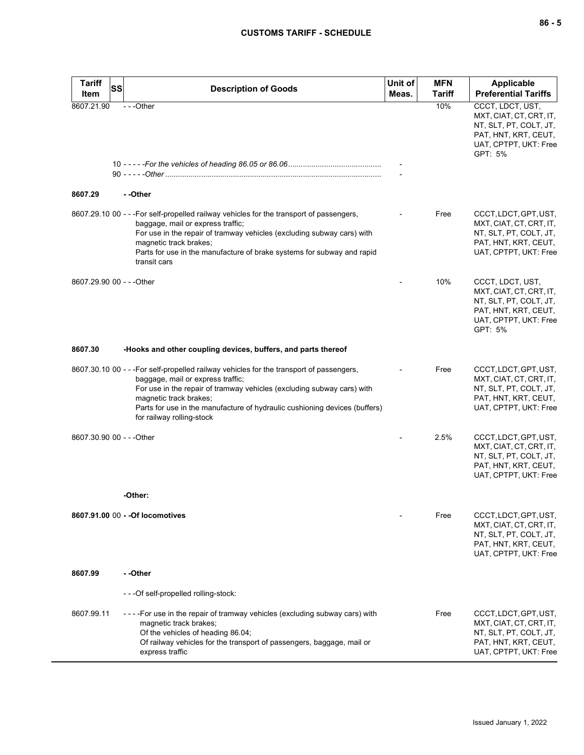| <b>Tariff</b><br>SS<br>Item | <b>Description of Goods</b>                                                                                                                                                                                                                                                                                                                  | Unit of<br>Meas. | <b>MFN</b><br><b>Tariff</b> | <b>Applicable</b><br><b>Preferential Tariffs</b>                                                                                  |
|-----------------------------|----------------------------------------------------------------------------------------------------------------------------------------------------------------------------------------------------------------------------------------------------------------------------------------------------------------------------------------------|------------------|-----------------------------|-----------------------------------------------------------------------------------------------------------------------------------|
| 8607.21.90                  | ---Other                                                                                                                                                                                                                                                                                                                                     |                  | 10%                         | CCCT, LDCT, UST,<br>MXT, CIAT, CT, CRT, IT,<br>NT, SLT, PT, COLT, JT,<br>PAT, HNT, KRT, CEUT,<br>UAT, CPTPT, UKT: Free<br>GPT: 5% |
|                             |                                                                                                                                                                                                                                                                                                                                              |                  |                             |                                                                                                                                   |
| 8607.29                     | - -Other                                                                                                                                                                                                                                                                                                                                     |                  |                             |                                                                                                                                   |
|                             | 8607.29.10 00 - - - For self-propelled railway vehicles for the transport of passengers,<br>baggage, mail or express traffic;<br>For use in the repair of tramway vehicles (excluding subway cars) with<br>magnetic track brakes;<br>Parts for use in the manufacture of brake systems for subway and rapid<br>transit cars                  |                  | Free                        | CCCT, LDCT, GPT, UST,<br>MXT, CIAT, CT, CRT, IT,<br>NT, SLT, PT, COLT, JT,<br>PAT, HNT, KRT, CEUT,<br>UAT, CPTPT, UKT: Free       |
| 8607.29.90 00 - - - Other   |                                                                                                                                                                                                                                                                                                                                              |                  | 10%                         | CCCT, LDCT, UST,<br>MXT, CIAT, CT, CRT, IT,<br>NT, SLT, PT, COLT, JT,<br>PAT, HNT, KRT, CEUT,<br>UAT, CPTPT, UKT: Free<br>GPT: 5% |
| 8607.30                     | -Hooks and other coupling devices, buffers, and parts thereof                                                                                                                                                                                                                                                                                |                  |                             |                                                                                                                                   |
|                             | 8607.30.10 00 - - - For self-propelled railway vehicles for the transport of passengers,<br>baggage, mail or express traffic;<br>For use in the repair of tramway vehicles (excluding subway cars) with<br>magnetic track brakes;<br>Parts for use in the manufacture of hydraulic cushioning devices (buffers)<br>for railway rolling-stock |                  | Free                        | CCCT, LDCT, GPT, UST,<br>MXT, CIAT, CT, CRT, IT,<br>NT, SLT, PT, COLT, JT,<br>PAT, HNT, KRT, CEUT,<br>UAT, CPTPT, UKT: Free       |
| 8607.30.90 00 - - - Other   |                                                                                                                                                                                                                                                                                                                                              |                  | 2.5%                        | CCCT, LDCT, GPT, UST,<br>MXT, CIAT, CT, CRT, IT,<br>NT, SLT, PT, COLT, JT,<br>PAT, HNT, KRT, CEUT,<br>UAT, CPTPT, UKT: Free       |
|                             | -Other:                                                                                                                                                                                                                                                                                                                                      |                  |                             |                                                                                                                                   |
|                             | 8607.91.00 00 - - Of locomotives                                                                                                                                                                                                                                                                                                             |                  | Free                        | CCCT, LDCT, GPT, UST,<br>MXT, CIAT, CT, CRT, IT,<br>NT, SLT, PT, COLT, JT,<br>PAT, HNT, KRT, CEUT,<br>UAT, CPTPT, UKT: Free       |
| 8607.99                     | - -Other                                                                                                                                                                                                                                                                                                                                     |                  |                             |                                                                                                                                   |
|                             | - - - Of self-propelled rolling-stock:                                                                                                                                                                                                                                                                                                       |                  |                             |                                                                                                                                   |
| 8607.99.11                  | - - - - For use in the repair of tramway vehicles (excluding subway cars) with<br>magnetic track brakes;<br>Of the vehicles of heading 86.04;<br>Of railway vehicles for the transport of passengers, baggage, mail or<br>express traffic                                                                                                    |                  | Free                        | CCCT, LDCT, GPT, UST,<br>MXT, CIAT, CT, CRT, IT,<br>NT, SLT, PT, COLT, JT,<br>PAT, HNT, KRT, CEUT,<br>UAT, CPTPT, UKT: Free       |